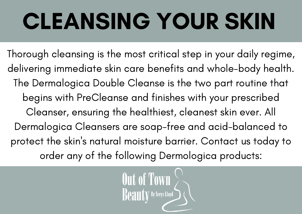# CLEANSING YOUR SKIN

Thorough cleansing is the most critical step in your daily regime, delivering immediate skin care benefits and [whole-body](http://www.outoftownbeauty.co.uk/dermologica-shaving.html) health. The Dermalogica Double Cleanse is the two part routine that begins with PreCleanse and finishes with your prescribed Cleanser, ensuring the healthiest, cleanest skin ever. All Dermalogica Cleansers are soap-free and [acid-balanced](http://www.outoftownbeauty.co.uk/dermologica-shaving.html) to protect the skin ' s natural moisture barrier. Contact us today to order any of the following [Dermologica](http://www.outoftownbeauty.co.uk/contact.html) products:

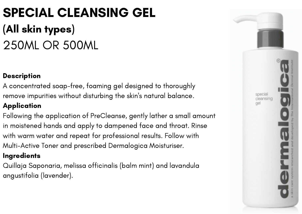# SPECIAL CLEANSING GEL (All skin types) 250ML OR 500ML

#### **Description**

A concentrated soap-free, foaming gel designed to thoroughly remove impurities without disturbing the skin 's natural balance.

### **Application**

Following the application of PreCleanse, gently lather a small amount in moistened hands and apply to dampened face and throat. Rinse with warm water and repeat for professional results. Follow with Multi-Active Toner and prescribed Dermalogica Moisturiser.

#### **Ingredients**

Quillaja Saponaria, melissa officinalis (balm mint) and lavandula angustifolia (lavender).

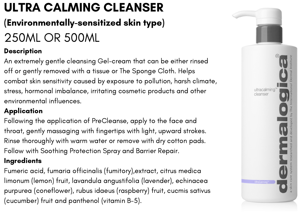# ULTRA CALMING CLEANSER

### (Environmentally-sensitized skin type)

# 250ML OR 500ML

### **Description**

An extremely gentle cleansing Gel-cream that can be either rinsed off or gently removed with a tissue or The Sponge Cloth. Helps combat skin sensitivity caused by exposure to pollution, harsh climate, stress, hormonal imbalance, irritating cosmetic products and other environmental influences.

### **Application**

Following the application of PreCleanse, apply to the face and throat, gently massaging with fingertips with light, upward strokes. Rinse thoroughly with warm water or remove with dry cotton pads. Follow with Soothing Protection Spray and Barrier Repair.

### **Ingredients**

Fumeric acid, fumaria officinalis (fumitory),extract, citrus medica limonum (lemon) fruit, lavandula angustifolia (lavender), echinacea purpurea (coneflower), rubus idaeus (raspberry) fruit, cucmis sativus (cucumber) fruit and panthenol (vitamin B-5).

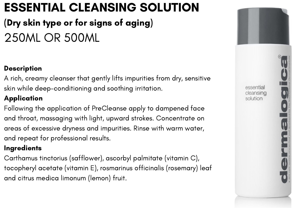### ESSENTIAL CLEANSING SOLUTION

### (Dry skin type or for signs of aging) 250ML OR 500ML

### **Description**

A rich, creamy cleanser that gently lifts impurities from dry, sensitive skin while deep-conditioning and soothing irritation.

### **Application**

Following the application of PreCleanse apply to dampened face and throat, massaging with light, upward strokes. Concentrate on areas of excessive dryness and impurities. Rinse with warm water, and repeat for professional results.

#### **Ingredients**

Carthamus tinctorius (safflower), ascorbyl palmitate (vitamin C), tocopheryl acetate (vitamin E), rosmarinus officinalis (rosemary) leaf and citrus medica limonum (lemon) fruit.